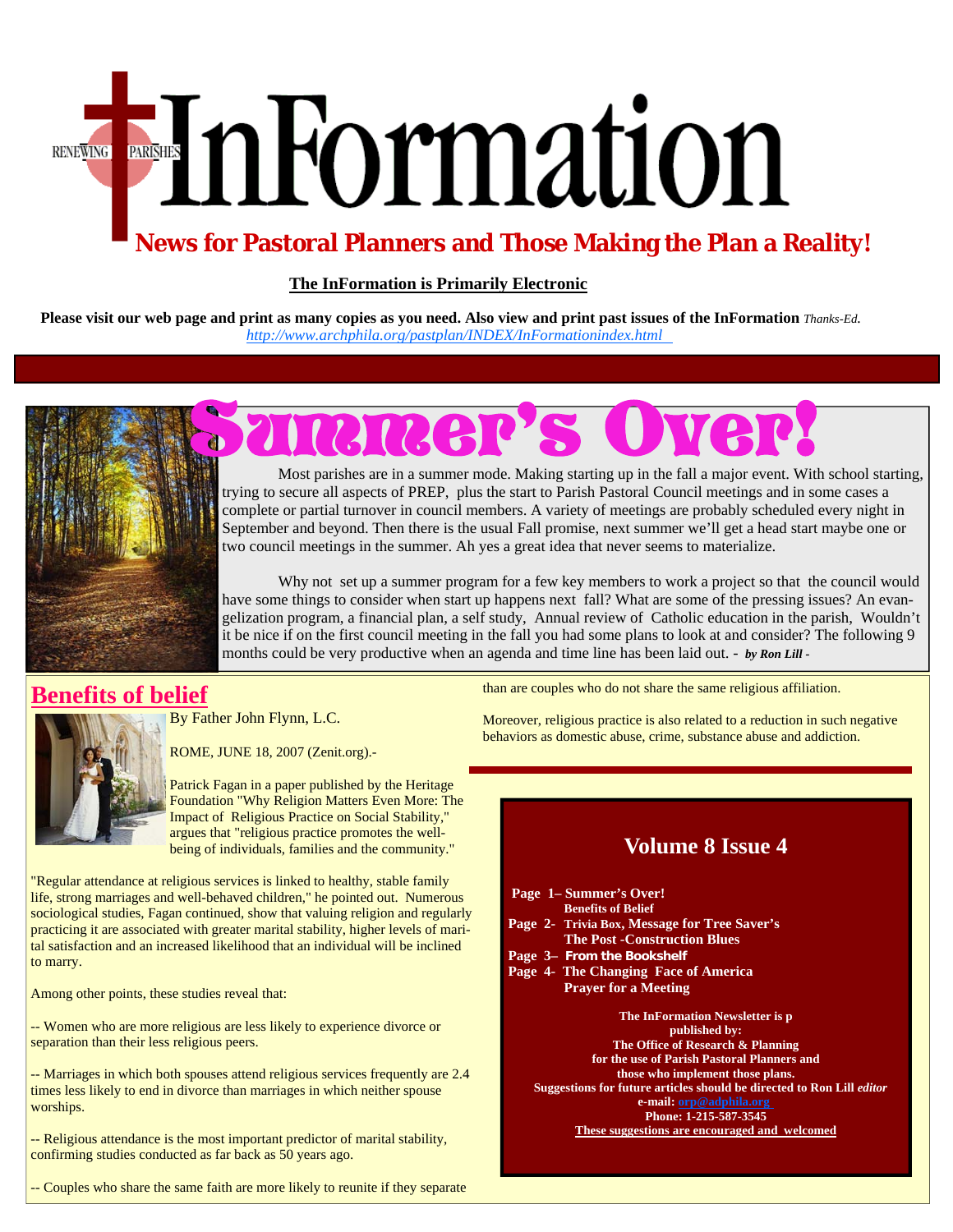# EnFormation **RENEWING**

## **News for Pastoral Planners and Those Making the Plan a Reality!**

#### **The InFormation is Primarily Electronic**

**Please visit our web page and print as many copies as you need. Also view and print past issues of the InFormation** *Thanks-Ed. [http://www.archphila.org/pastplan/](http://archphila.org/pastplan/INDEX/InFormationindex.html)INDEX/InFormationindex.html*



## Summer's Over!

 Most parishes are in a summer mode. Making starting up in the fall a major event. With school starting, trying to secure all aspects of PREP, plus the start to Parish Pastoral Council meetings and in some cases a complete or partial turnover in council members. A variety of meetings are probably scheduled every night in September and beyond. Then there is the usual Fall promise, next summer we'll get a head start maybe one or two council meetings in the summer. Ah yes a great idea that never seems to materialize.

 Why not set up a summer program for a few key members to work a project so that the council would have some things to consider when start up happens next fall? What are some of the pressing issues? An evangelization program, a financial plan, a self study, Annual review of Catholic education in the parish, Wouldn't it be nice if on the first council meeting in the fall you had some plans to look at and consider? The following 9 months could be very productive when an agenda and time line has been laid out. - *by Ron Lill -* 

## **Benefits of belief**



By Father John Flynn, L.C.

ROME, JUNE 18, 2007 (Zenit.org).-

Patrick Fagan in a paper published by the Heritage Foundation "Why Religion Matters Even More: The Impact of Religious Practice on Social Stability," argues that "religious practice promotes the wellbeing of individuals, families and the community."

"Regular attendance at religious services is linked to healthy, stable family life, strong marriages and well-behaved children," he pointed out. Numerous sociological studies, Fagan continued, show that valuing religion and regularly practicing it are associated with greater marital stability, higher levels of marital satisfaction and an increased likelihood that an individual will be inclined to marry.

Among other points, these studies reveal that:

-- Women who are more religious are less likely to experience divorce or separation than their less religious peers.

-- Marriages in which both spouses attend religious services frequently are 2.4 times less likely to end in divorce than marriages in which neither spouse worships.

-- Religious attendance is the most important predictor of marital stability, confirming studies conducted as far back as 50 years ago.

-- Couples who share the same faith are more likely to reunite if they separate

than are couples who do not share the same religious affiliation.

Moreover, religious practice is also related to a reduction in such negative behaviors as domestic abuse, crime, substance abuse and addiction.

## **Volume 8 Issue 4**

 **Page 1– Summer's Over! Benefits of Belief Page 2- Trivia Box, Message for Tree Saver's The Post -Construction Blues Page 3– From the Bookshelf Page 4- The Changing Face of America Prayer for a Meeting The InFormation Newsletter is p published by: The Office of Research & Planning for the use of Parish Pastoral Planners and those who implement those plans. Suggestions for future articles should be directed to Ron Lill** *editor*  **e-mail: orp@adphila.org Phone: 1-215-587-3545** 

**These suggestions are encouraged and welcomed**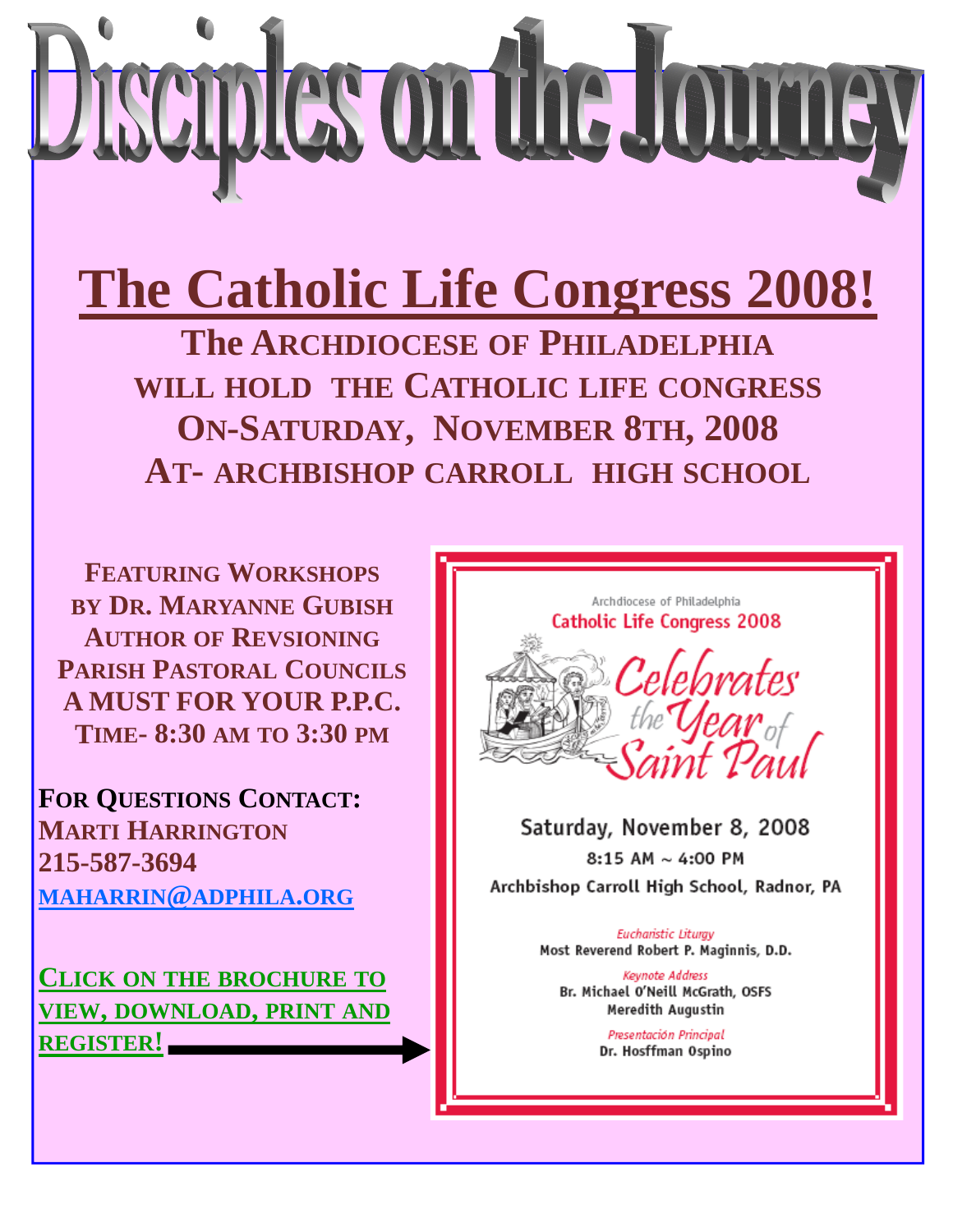

**The Catholic Life Congress 2008!** 

**The ARCHDIOCESE OF PHILADELPHIA WILL HOLD THE CATHOLIC LIFE CONGRESS ON-SATURDAY, NOVEMBER 8TH, 2008 AT- ARCHBISHOP CARROLL HIGH SCHOOL**

**FEATURING WORKSHOPS BY DR. MARYANNE GUBISH AUTHOR OF REVSIONING PARISH PASTORAL COUNCILS A MUST FOR YOUR P.P.C. TIME- 8:30 AM TO 3:30 PM**

**FOR QUESTIONS CONTACT: MARTI HARRINGTON 215-587-3694 MAHARRIN@ADPHILA.ORG**

**CLICK ON THE BROCHURE TO VIEW, DOWNLOAD, PRINT AND REGISTER!**



Saturday, November 8, 2008 8:15 AM  $\sim$  4:00 PM Archbishop Carroll High School, Radnor, PA

> **Eucharistic Liturgy** Most Reverend Robert P. Maginnis, D.D.

Keynote Address Br. Michael O'Neill McGrath, OSFS Meredith Augustin

> Presentación Principal Dr. Hosffman Ospino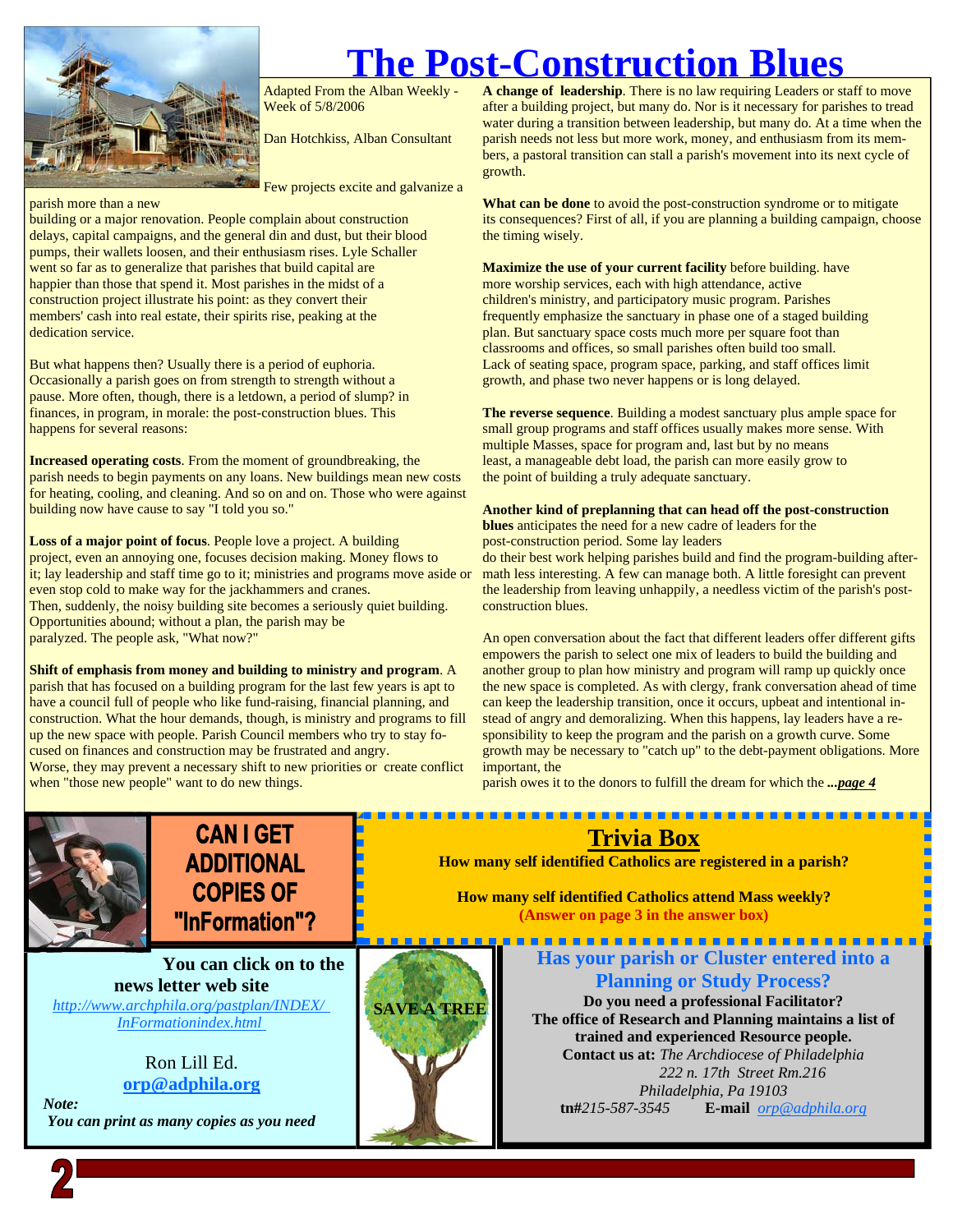

**The Post-Construction Blues** 

Adapted From the Alban Weekly - Week of 5/8/2006

Dan Hotchkiss, Alban Consultant

Few projects excite and galvanize a

#### parish more than a new

building or a major renovation. People complain about construction delays, capital campaigns, and the general din and dust, but their blood pumps, their wallets loosen, and their enthusiasm rises. Lyle Schaller went so far as to generalize that parishes that build capital are happier than those that spend it. Most parishes in the midst of a construction project illustrate his point: as they convert their members' cash into real estate, their spirits rise, peaking at the dedication service.

But what happens then? Usually there is a period of euphoria. Occasionally a parish goes on from strength to strength without a pause. More often, though, there is a letdown, a period of slump? in finances, in program, in morale: the post-construction blues. This happens for several reasons:

**Increased operating costs**. From the moment of groundbreaking, the parish needs to begin payments on any loans. New buildings mean new costs for heating, cooling, and cleaning. And so on and on. Those who were against building now have cause to say "I told you so."

**Loss of a major point of focus**. People love a project. A building project, even an annoying one, focuses decision making. Money flows to it; lay leadership and staff time go to it; ministries and programs move aside or even stop cold to make way for the jackhammers and cranes. Then, suddenly, the noisy building site becomes a seriously quiet building. Opportunities abound; without a plan, the parish may be paralyzed. The people ask, "What now?"

**Shift of emphasis from money and building to ministry and program**. A parish that has focused on a building program for the last few years is apt to have a council full of people who like fund-raising, financial planning, and construction. What the hour demands, though, is ministry and programs to fill up the new space with people. Parish Council members who try to stay focused on finances and construction may be frustrated and angry. Worse, they may prevent a necessary shift to new priorities or create conflict when "those new people" want to do new things.

**A change of leadership**. There is no law requiring Leaders or staff to move after a building project, but many do. Nor is it necessary for parishes to tread water during a transition between leadership, but many do. At a time when the parish needs not less but more work, money, and enthusiasm from its members, a pastoral transition can stall a parish's movement into its next cycle of growth.

**What can be done** to avoid the post-construction syndrome or to mitigate its consequences? First of all, if you are planning a building campaign, choose the timing wisely.

**Maximize the use of your current facility** before building. have more worship services, each with high attendance, active children's ministry, and participatory music program. Parishes frequently emphasize the sanctuary in phase one of a staged building plan. But sanctuary space costs much more per square foot than classrooms and offices, so small parishes often build too small. Lack of seating space, program space, parking, and staff offices limit growth, and phase two never happens or is long delayed.

**The reverse sequence**. Building a modest sanctuary plus ample space for small group programs and staff offices usually makes more sense. With multiple Masses, space for program and, last but by no means least, a manageable debt load, the parish can more easily grow to the point of building a truly adequate sanctuary.

#### **Another kind of preplanning that can head off the post-construction**

**blues** anticipates the need for a new cadre of leaders for the

post-construction period. Some lay leaders

do their best work helping parishes build and find the program-building aftermath less interesting. A few can manage both. A little foresight can prevent the leadership from leaving unhappily, a needless victim of the parish's postconstruction blues.

An open conversation about the fact that different leaders offer different gifts empowers the parish to select one mix of leaders to build the building and another group to plan how ministry and program will ramp up quickly once the new space is completed. As with clergy, frank conversation ahead of time can keep the leadership transition, once it occurs, upbeat and intentional instead of angry and demoralizing. When this happens, lay leaders have a responsibility to keep the program and the parish on a growth curve. Some growth may be necessary to "catch up" to the debt-payment obligations. More important, the

parish owes it to the donors to fulfill the dream for which the *...page 4*

**Trivia Box How many self identified Catholics are registered in a parish?** 

**How many self identified Catholics attend Mass weekly? (Answer on page 3 in the answer box)** 



**CAN I GET ADDITIONAL COPIES OF** "InFormation"?

**You can click on to the news letter web site**  *[http://www.archphila.org/pastplan/](http://archphila.org/pastplan/INDEX/InFormationindex.html)INDEX/ InFormationindex.html*

> Ron Lill Ed. **orp@adphila.org**

 *Note: You can print as many copies as you need* 



**Has your parish or Cluster entered into a Planning or Study Process?** 

. . . . . . . . . . . . . . . . . . .

**Do you need a professional Facilitator? The office of Research and Planning maintains a list of trained and experienced Resource people. Contact us at:** *The Archdiocese of Philadelphia* 

 *222 n. 17th Street Rm.216 Philadelphia, Pa 19103*  **tn#***215-587-3545* **E-mail** *orp@adphila.org*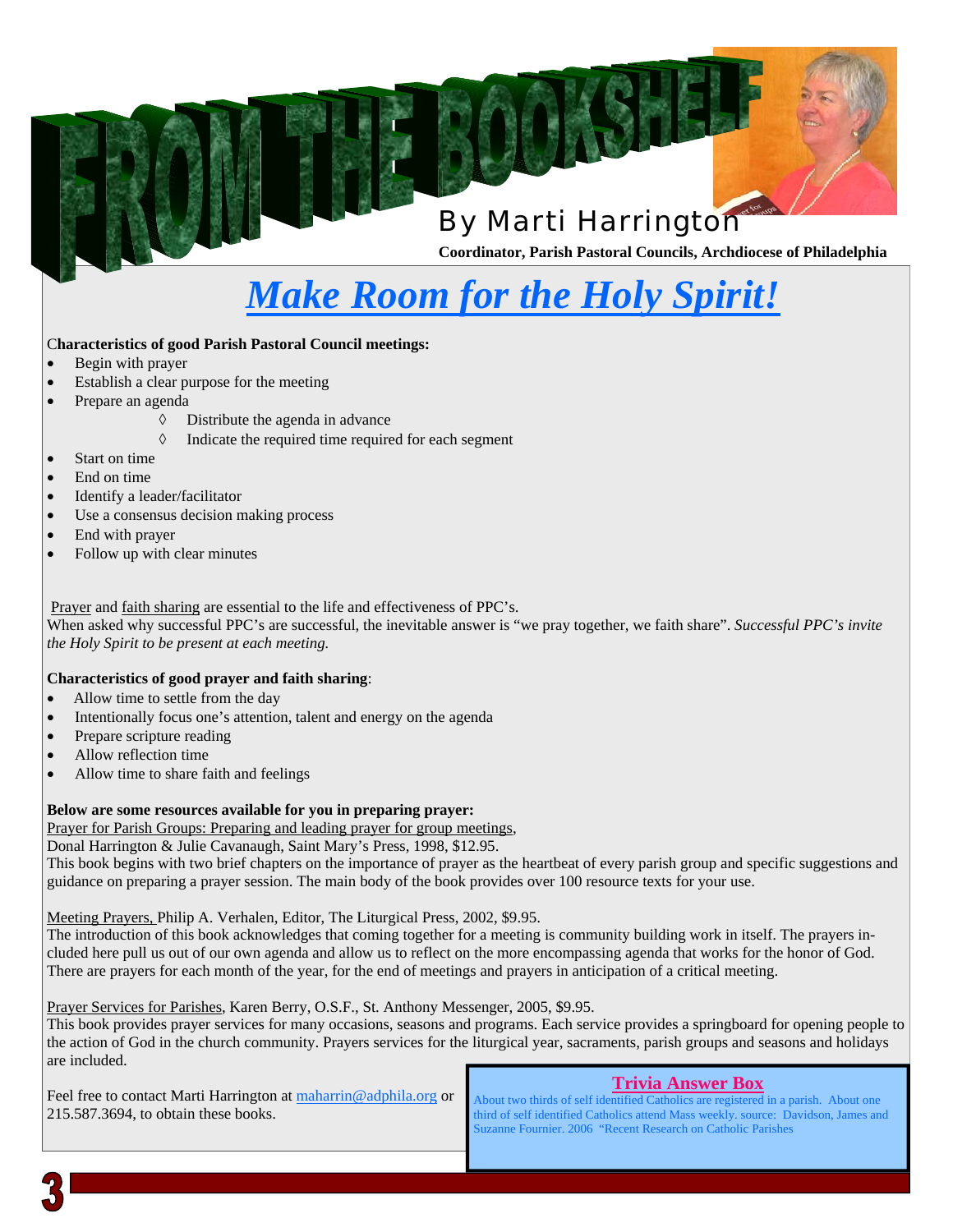## By Marti Harrington

**Coordinator, Parish Pastoral Councils, Archdiocese of Philadelphia** 

## *Make Room for the Holy Spirit!*

#### C**haracteristics of good Parish Pastoral Council meetings:**

- Begin with prayer
- Establish a clear purpose for the meeting
- Prepare an agenda
	- $\Diamond$  Distribute the agenda in advance
	- *S* Indicate the required time required for each segment
- Start on time
- End on time
- Identify a leader/facilitator
- Use a consensus decision making process
- End with prayer
- Follow up with clear minutes

Prayer and faith sharing are essential to the life and effectiveness of PPC's.

When asked why successful PPC's are successful, the inevitable answer is "we pray together, we faith share". *Successful PPC's invite the Holy Spirit to be present at each meeting.* 

#### **Characteristics of good prayer and faith sharing**:

- Allow time to settle from the day
- Intentionally focus one's attention, talent and energy on the agenda
- Prepare scripture reading
- Allow reflection time
- Allow time to share faith and feelings

#### **Below are some resources available for you in preparing prayer:**

Prayer for Parish Groups: Preparing and leading prayer for group meetings,

Donal Harrington & Julie Cavanaugh, Saint Mary's Press, 1998, \$12.95.

This book begins with two brief chapters on the importance of prayer as the heartbeat of every parish group and specific suggestions and guidance on preparing a prayer session. The main body of the book provides over 100 resource texts for your use.

Meeting Prayers, Philip A. Verhalen, Editor, The Liturgical Press, 2002, \$9.95.

The introduction of this book acknowledges that coming together for a meeting is community building work in itself. The prayers included here pull us out of our own agenda and allow us to reflect on the more encompassing agenda that works for the honor of God. There are prayers for each month of the year, for the end of meetings and prayers in anticipation of a critical meeting.

Prayer Services for Parishes, Karen Berry, O.S.F., St. Anthony Messenger, 2005, \$9.95.

This book provides prayer services for many occasions, seasons and programs. Each service provides a springboard for opening people to the action of God in the church community. Prayers services for the liturgical year, sacraments, parish groups and seasons and holidays are included.

Feel free to contact Marti Harrington at maharrin@adphila.org or 215.587.3694, to obtain these books.

#### **Trivia Answer Box**

About two thirds of self identified Catholics are registered in a parish. About one third of self identified Catholics attend Mass weekly. source: Davidson, James and Suzanne Fournier. 2006 "Recent Research on Catholic Parishes